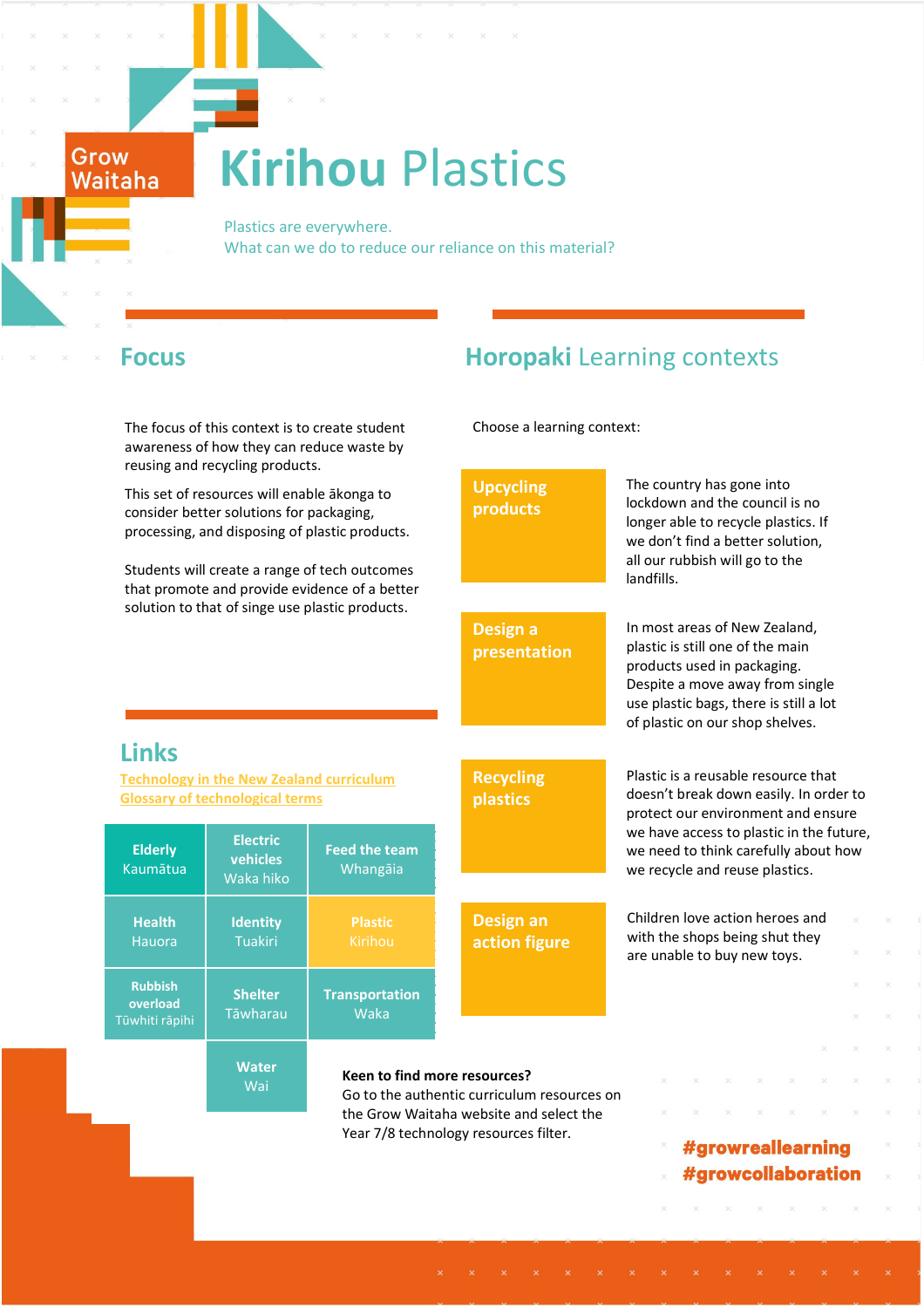# **Kirihou** Plastics

 Plastics are everywhere. What can we do to reduce our reliance on this material?

Grow Waitaha

**Links**

**Elderly** Kaumātua

> **Health** Hauora

**Rubbish overload** Tūwhiti rāpihi

The focus of this context is to create student awareness of how they can reduce waste by reusing and recycling products.

This set of resources will enable ākonga to consider better solutions for packaging, processing, and disposing of plastic products.

Students will create a range of tech outcomes that promote and provide evidence of a better solution to that of singe use plastic products.

**Wai** 

# **Focus Horopaki** Learning contexts

Choose a learning context:

The country has gone into **Upcycling**  lockdown and the council is no **products**  longer able to recycle plastics. If we don't find a better solution, all our rubbish will go to the landfills. In most areas of New Zealand, **Design a**  plastic is still one of the main **presentation** products used in packaging. Despite a move away from single use plastic bags, there is still a lot of plastic on our shop shelves. Plastic is a reusable resource that **Recycling [Technology in the New Zealand curriculum](http://technology.tki.org.nz/Technology-in-the-NZC)** doesn't break down easily. In order to **[Glossary of technological terms](http://technology.tki.org.nz/Glossary) plastics** protect our environment and ensure we have access to plastic in the future, **Electric Feed the team** we need to think carefully about how **vehicles** Whangāia we recycle and reuse plastics. Waka hiko Children love action heroes and **Plastic Design an Identity** with the shops being shut they Tuakiri **action figure**  are unable to buy new toys. **Shelter Transportation** Tāwharau Waka **Water Keen to find more resources?** Go to the authentic curriculum resources on the Grow Waitaha website and select the Year 7/8 technology resources filter.#growreallearning #growcollaboration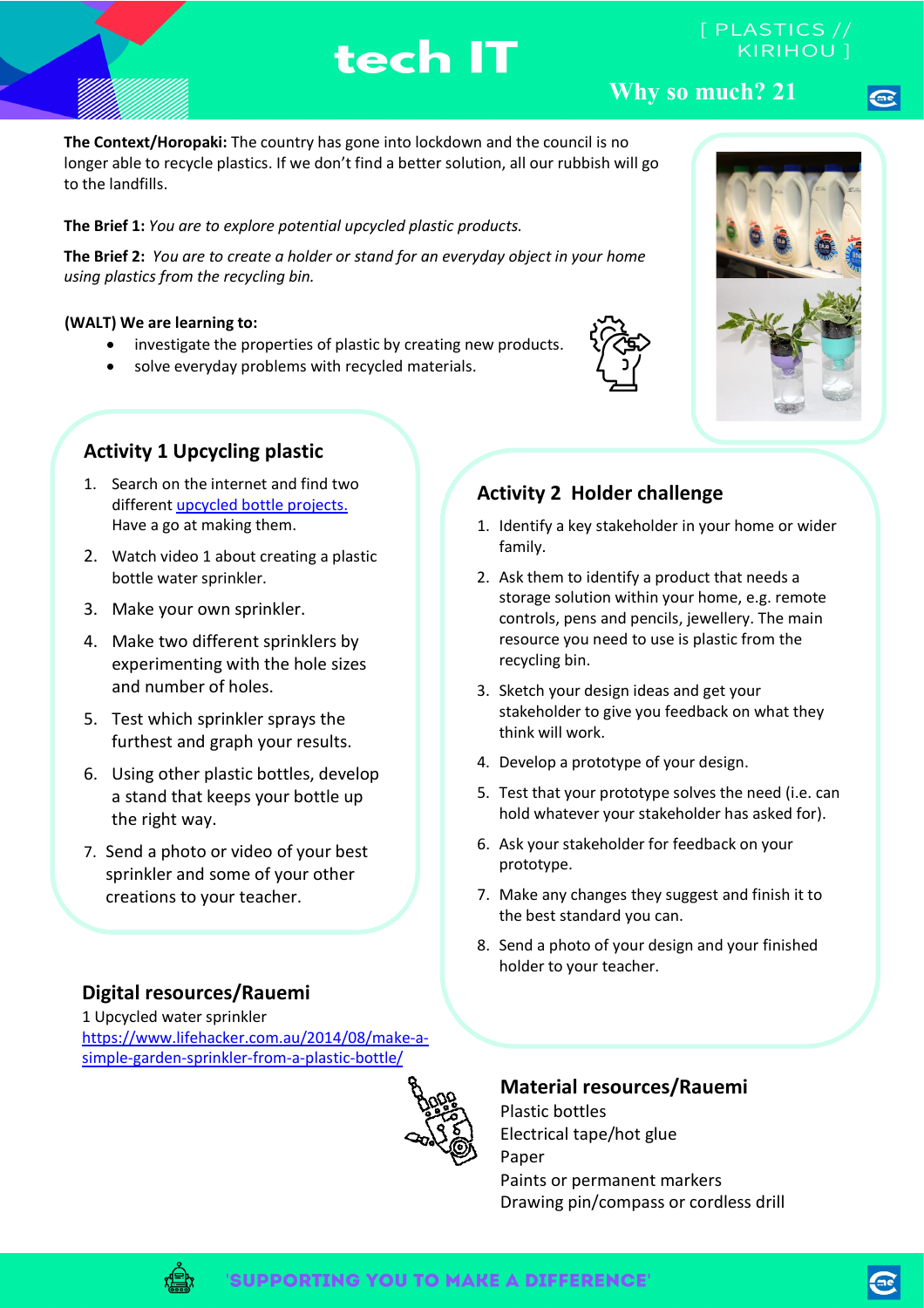# tech IT

**Why so much? 21**

**The Context/Horopaki:** The country has gone into lockdown and the council is no longer able to recycle plastics. If we don't find a better solution, all our rubbish will go to the landfills.

### **The Brief 1:** *You are to explore potential upcycled plastic products.*

**The Brief 2:** *You are to create a holder or stand for an everyday object in your home using plastics from the recycling bin.* 

### **(WALT) We are learning to:**

- investigate the properties of plastic by creating new products.
- solve everyday problems with recycled materials.



- 1. Search on the internet and find two differen[t upcycled bottle projects.](https://www.google.com/search?rlz=1C5CHFA_enNZ862NZ862&sxsrf=ALeKk006CzY7K88jHgMTo6ijKaXsUAziKA%3A1587500566123&ei=FlafXvGQB5G89QPJ-7OIAg&q=upcycled+plastic+bottle+projects&oq=upcycled+plastic+bottle+projects&gs_lcp=CgZwc3ktYWIQDDoECAAQR1D6dli7fmDCpgFoAHACeACAAfMBiAHmDJIBBTAuNC40mAEAoAEBqgEHZ3dzLXdpeg&sclient=psy-ab&ved=0ahUKEwjx88u6rProAhURXn0KHcn9DCEQ4dUDCAw) Have a go at making them.
- 2. Watch video 1 about creating a plastic bottle water sprinkler.
- 3. Make your own sprinkler.
- 4. Make two different sprinklers by experimenting with the hole sizes and number of holes.
- 5. Test which sprinkler sprays the furthest and graph your results.
- 6. Using other plastic bottles, develop a stand that keeps your bottle up the right way.
- 7. Send a photo or video of your best sprinkler and some of your other creations to your teacher.

# **Digital resources/Rauemi**

1 Upcycled water sprinkler [https://www.lifehacker.com.au/2014/08/make-a](https://www.lifehacker.com.au/2014/08/make-a-simple-garden-sprinkler-from-a-plastic-bottle/)[simple-garden-sprinkler-from-a-plastic-bottle/](https://www.lifehacker.com.au/2014/08/make-a-simple-garden-sprinkler-from-a-plastic-bottle/)



# **Material resources/Rauemi**

Plastic bottles Electrical tape/hot glue Paper Paints or permanent markers Drawing pin/compass or cordless drill



 $[$  PLASTICS  $//$ 

### **Activity 2 Holder challenge**

- 1. Identify a key stakeholder in your home or wider family.
- 2. Ask them to identify a product that needs a storage solution within your home, e.g. remote controls, pens and pencils, jewellery. The main resource you need to use is plastic from the recycling bin.
- 3. Sketch your design ideas and get your stakeholder to give you feedback on what they think will work.
- 4. Develop a prototype of your design.
- 5. Test that your prototype solves the need (i.e. can hold whatever your stakeholder has asked for).
- 6. Ask your stakeholder for feedback on your prototype.
- 7. Make any changes they suggest and finish it to the best standard you can.
- 8. Send a photo of your design and your finished holder to your teacher.



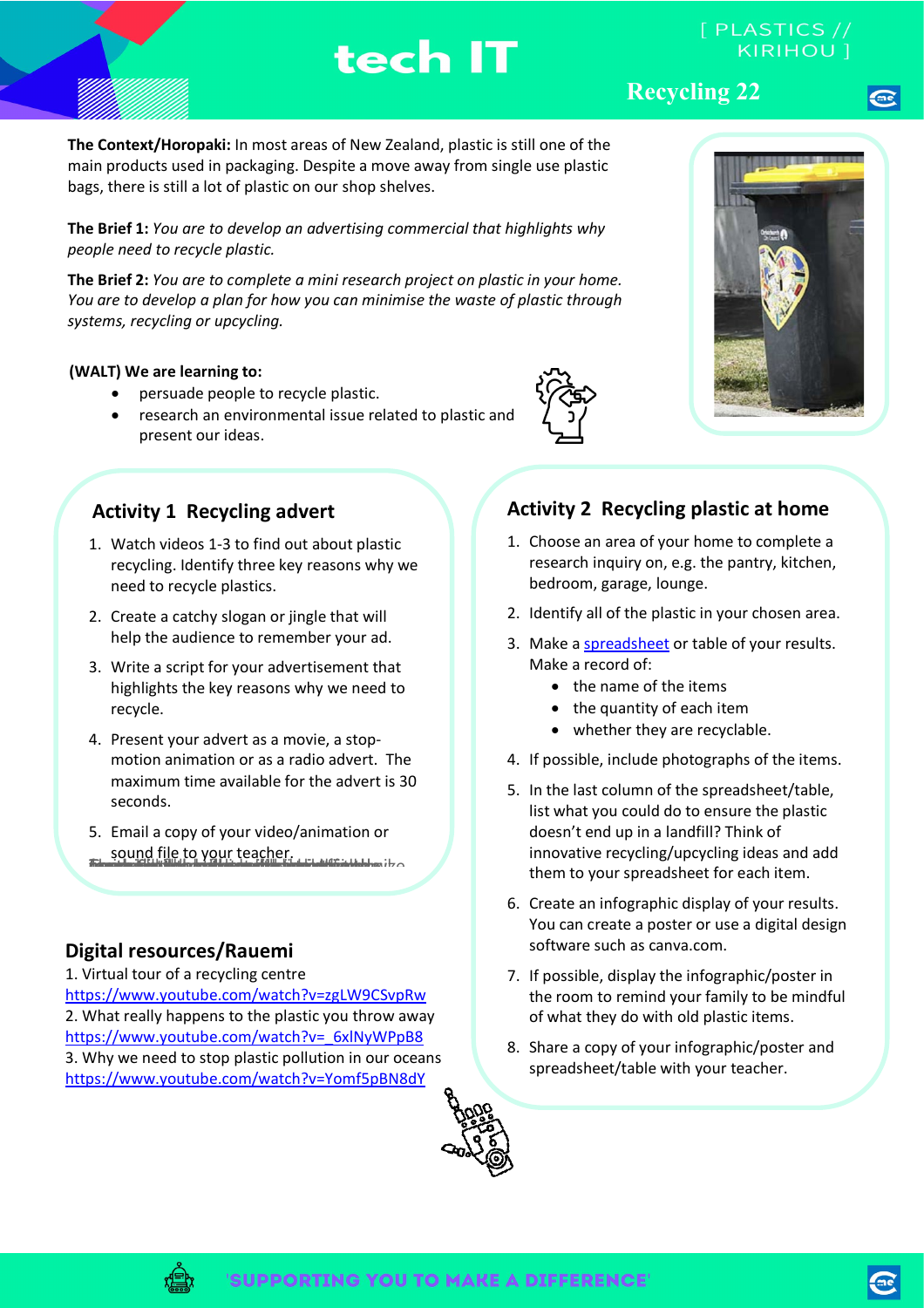**The Context/Horopaki:** In most areas of New Zealand, plastic is still one of the main products used in packaging. Despite a move away from single use plastic bags, there is still a lot of plastic on our shop shelves.

tech IT

**The Brief 1:** *You are to develop an advertising commercial that highlights why people need to recycle plastic.* 

**The Brief 2:** *You are to complete a mini research project on plastic in your home. You are to develop a plan for how you can minimise the waste of plastic through systems, recycling or upcycling.*

#### **(WALT) We are learning to:**

- persuade people to recycle plastic.
- research an environmental issue related to plastic and present our ideas.

### **Activity 1 Recycling advert**

- 1. Watch videos 1-3 to find out about plastic recycling. Identify three key reasons why we need to recycle plastics.
- 2. Create a catchy slogan or jingle that will help the audience to remember your ad.
- 3. Write a script for your advertisement that highlights the key reasons why we need to recycle.
- 4. Present your advert as a movie, a stopmotion animation or as a radio advert. The maximum time available for the advert is 30 seconds.
- 5. Email a copy of your video/animation or sound file to your teacher. <u> 1967 - An Francisco III (1968 - An Francisco III) Martinologico III (</u>

### **Digital resources/Rauemi**

1. Virtual tour of a recycling centre <https://www.youtube.com/watch?v=zgLW9CSvpRw> 2. What really happens to the plastic you throw away [https://www.youtube.com/watch?v=\\_6xlNyWPpB8](https://www.youtube.com/watch?v=_6xlNyWPpB8) 3. Why we need to stop plastic pollution in our oceans <https://www.youtube.com/watch?v=Yomf5pBN8dY>

#### 5. In the last column of the spreadsheet/table, list what you could do to ensure the plastic doesn't end up in a landfill? Think of innovative recycling/upcycling ideas and add them to your spreadsheet for each item.

6. Create an infographic display of your results. You can create a poster or use a digital design software such as canva.com.

**Activity 2 Recycling plastic at home**

1. Choose an area of your home to complete a research inquiry on, e.g. the pantry, kitchen,

2. Identify all of the plastic in your chosen area. 3. Make a [spreadsheet](https://docs.google.com/spreadsheets/d/1YzVD8gT6UtZnO2kp8BaFQFJMLvOmuv8RM5lM2deV_f8/copy) or table of your results.

4. If possible, include photographs of the items.

bedroom, garage, lounge.

• the name of the items • the quantity of each item • whether they are recyclable.

Make a record of:

- 7. If possible, display the infographic/poster in the room to remind your family to be mindful of what they do with old plastic items.
- 8. Share a copy of your infographic/poster and spreadsheet/table with your teacher.

**Recycling 22**





[ PLASTICS //



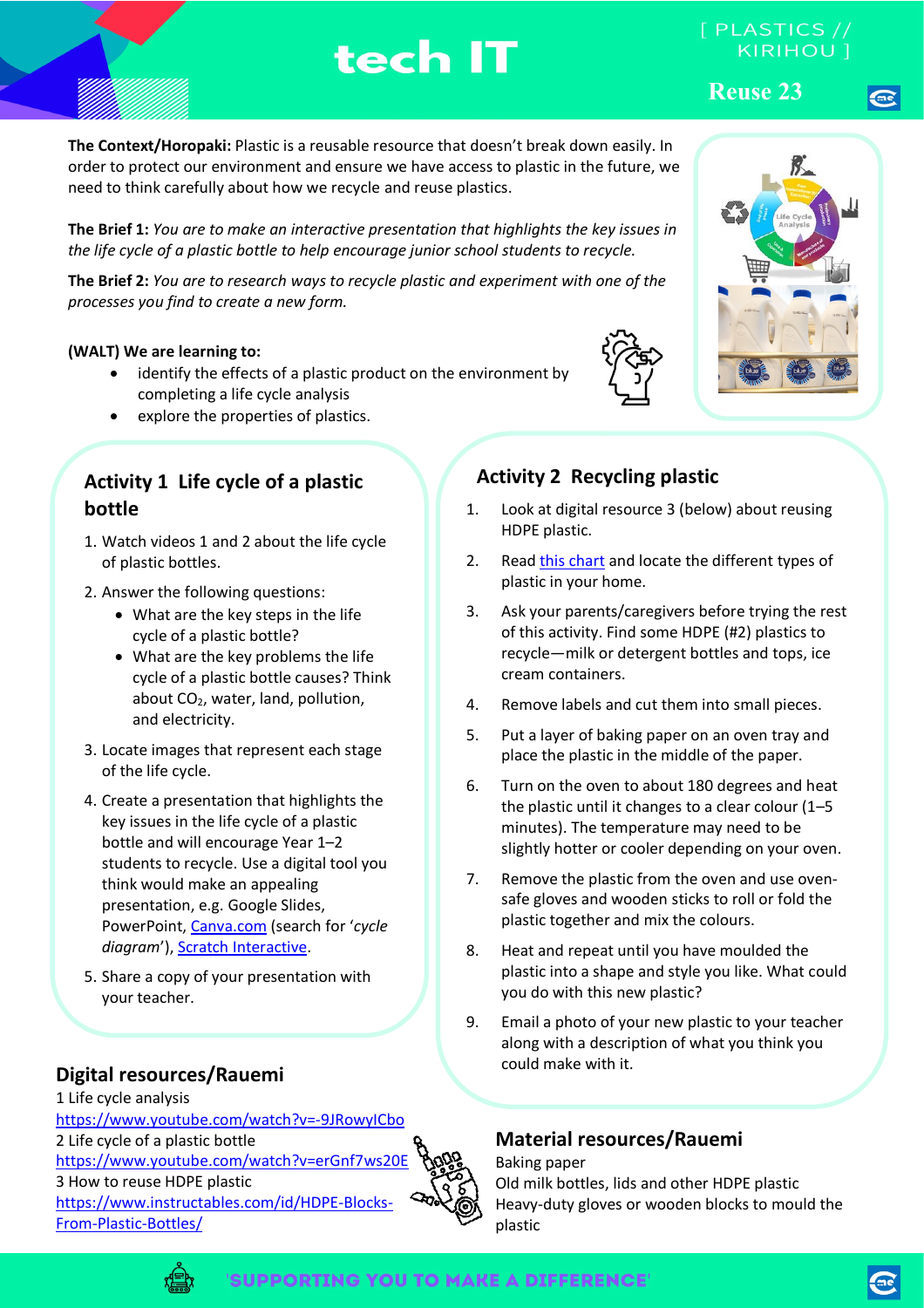# tech IT

# [ PLASTICS //

**Reuse 23**

**The Context/Horopaki:** Plastic is a reusable resource that doesn't break down easily. In order to protect our environment and ensure we have access to plastic in the future, we need to think carefully about how we recycle and reuse plastics.

**The Brief 1:** *You are to make an interactive presentation that highlights the key issues in the life cycle of a plastic bottle to help encourage junior school students to recycle.* 

**The Brief 2:** *You are to research ways to recycle plastic and experiment with one of the processes you find to create a new form.*

### **(WALT) We are learning to:**

- identify the effects of a plastic product on the environment by completing a life cycle analysis
- explore the properties of plastics.

### **Activity 1 Life cycle of a plastic bottle**

- 1. Watch videos 1 and 2 about the life cycle of plastic bottles.
- 2. Answer the following questions:
	- What are the key steps in the life cycle of a plastic bottle?
	- What are the key problems the life cycle of a plastic bottle causes? Think about  $CO<sub>2</sub>$ , water, land, pollution, and electricity.
- 3. Locate images that represent each stage of the life cycle.
- 4. Create a presentation that highlights the key issues in the life cycle of a plastic bottle and will encourage Year 1–2 students to recycle. Use a digital tool you think would make an appealing presentation, e.g. Google Slides, PowerPoint, [Canva.com](https://www.canva.com/search/templates?q=cycle%20diagram&organic=true) (search for '*cycle diagram*')[, Scratch Interactive.](https://www.youtube.com/watch?v=_qzRz9rz3gI)
- 5. Share a copy of your presentation with your teacher.

### **Digital resources/Rauemi**

1 Life cycle analysis <https://www.youtube.com/watch?v=-9JRowyICbo> 2 Life cycle of a plastic bottle <https://www.youtube.com/watch?v=erGnf7ws20E> 3 How to reuse HDPE plastic [https://www.instructables.com/id/HDPE-Blocks-](https://www.instructables.com/id/HDPE-Blocks-From-Plastic-Bottles/)[From-Plastic-Bottles/](https://www.instructables.com/id/HDPE-Blocks-From-Plastic-Bottles/)





### **Activity 2 Recycling plastic**

- 1. Look at digital resource 3 (below) about reusing HDPE plastic.
- 2. Read [this chart](http://www.recycle.co.nz/edit/ftpuploads/157090999_Plastics%20Recycling%20Guide%20by%20Type.pdf) and locate the different types of plastic in your home.
- 3. Ask your parents/caregivers before trying the rest of this activity. Find some HDPE (#2) plastics to recycle—milk or detergent bottles and tops, ice cream containers.
- 4. Remove labels and cut them into small pieces.
- 5. Put a layer of baking paper on an oven tray and place the plastic in the middle of the paper.
- 6. Turn on the oven to about 180 degrees and heat the plastic until it changes to a clear colour (1–5 minutes). The temperature may need to be slightly hotter or cooler depending on your oven.
- 7. Remove the plastic from the oven and use ovensafe gloves and wooden sticks to roll or fold the plastic together and mix the colours.
- 8. Heat and repeat until you have moulded the plastic into a shape and style you like. What could you do with this new plastic?
- 9. Email a photo of your new plastic to your teacher along with a description of what you think you could make with it.

### **Material resources/Rauemi**

Baking paper Old milk bottles, lids and other HDPE plastic Heavy-duty gloves or wooden blocks to mould the plastic